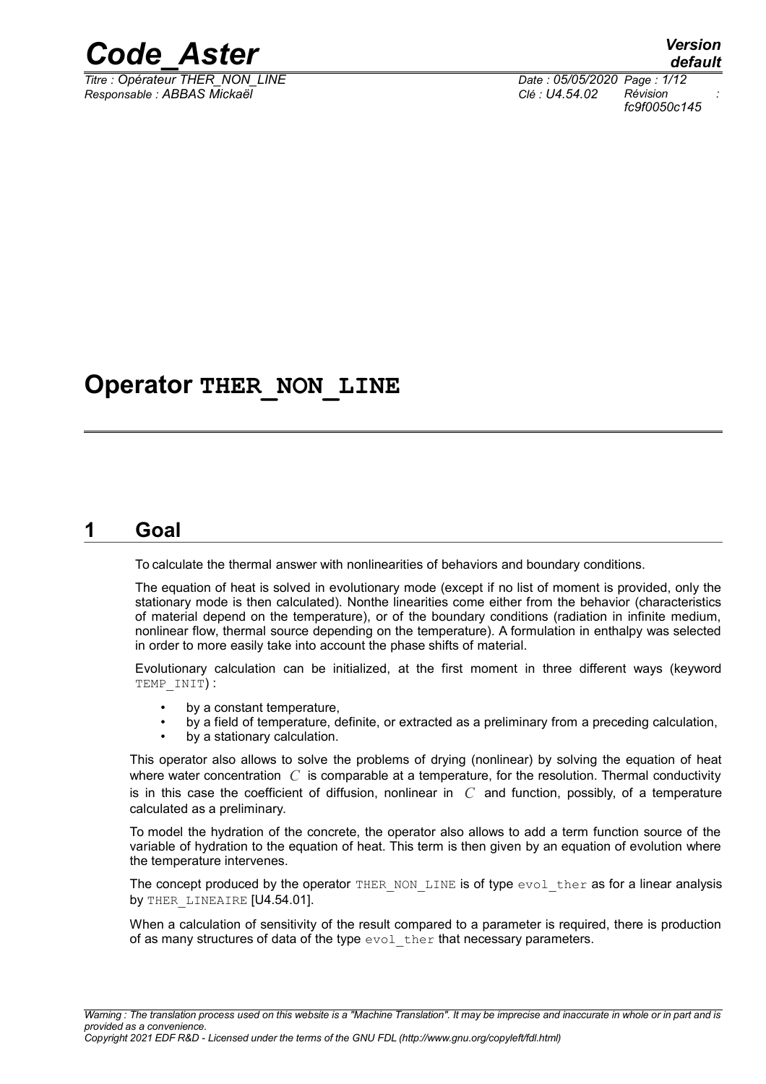

*Responsable : ABBAS Mickaël Clé : U4.54.02 Révision :*

*default Titre : Opérateur THER\_NON\_LINE Date : 05/05/2020 Page : 1/12 fc9f0050c145*

# **Operator THER\_NON\_LINE**

# **1 Goal**

To calculate the thermal answer with nonlinearities of behaviors and boundary conditions.

The equation of heat is solved in evolutionary mode (except if no list of moment is provided, only the stationary mode is then calculated). Nonthe linearities come either from the behavior (characteristics of material depend on the temperature), or of the boundary conditions (radiation in infinite medium, nonlinear flow, thermal source depending on the temperature). A formulation in enthalpy was selected in order to more easily take into account the phase shifts of material.

Evolutionary calculation can be initialized, at the first moment in three different ways (keyword TEMP\_INIT) :

- by a constant temperature,
- by a field of temperature, definite, or extracted as a preliminary from a preceding calculation,
- by a stationary calculation.

This operator also allows to solve the problems of drying (nonlinear) by solving the equation of heat where water concentration *C* is comparable at a temperature, for the resolution. Thermal conductivity is in this case the coefficient of diffusion, nonlinear in *C* and function, possibly, of a temperature calculated as a preliminary.

To model the hydration of the concrete, the operator also allows to add a term function source of the variable of hydration to the equation of heat. This term is then given by an equation of evolution where the temperature intervenes.

The concept produced by the operator THER\_NON\_LINE is of type  $evol$  ther as for a linear analysis by THER LINEAIRE [U4.54.01].

When a calculation of sensitivity of the result compared to a parameter is required, there is production of as many structures of data of the type  $evol$  ther that necessary parameters.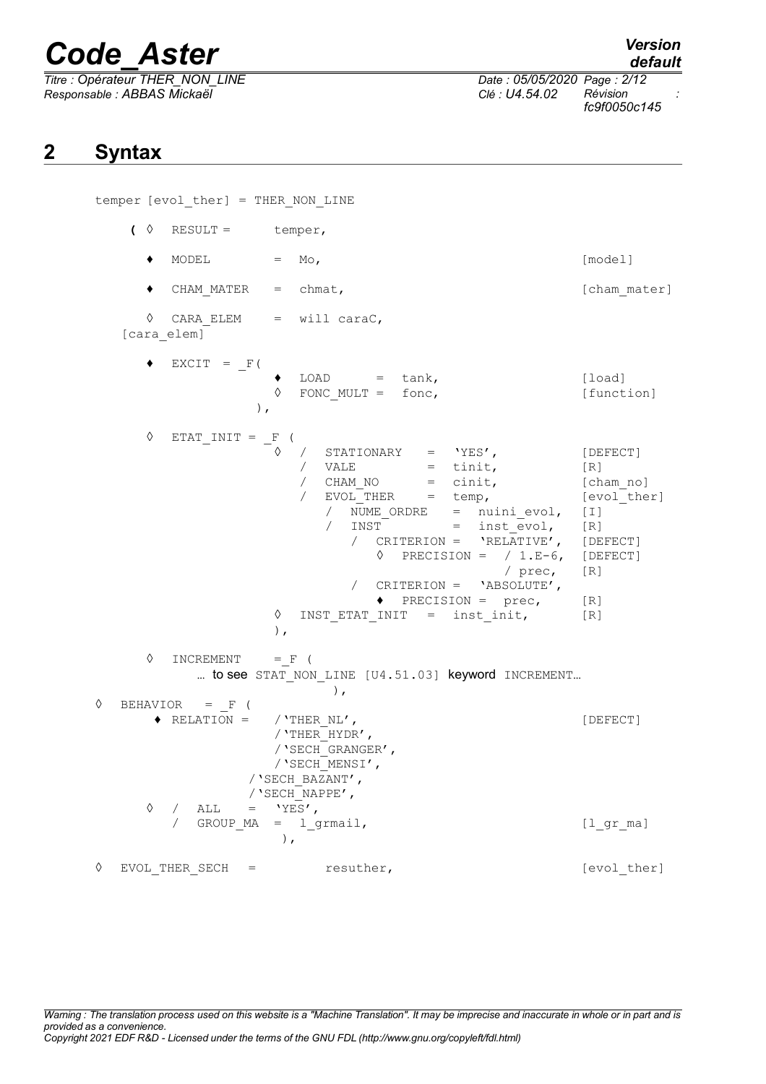*Titre : Opérateur THER\_NON\_LINE Date : 05/05/2020 Page : 2/12 Responsable : ABBAS Mickaël Clé : U4.54.02 Révision :*

*default*

*fc9f0050c145*

# **2 Syntax**

temper [evol\_ther] = THER\_NON\_LINE  $\left( \begin{array}{cc} \Diamond & \text{RESULT} = \\ \end{array} \right)$  $\bullet$  MODEL  $=$  Mo,  $[\text{model}]$ ◆ CHAM\_MATER = chmat, let a set a set a set a set a set a set a set a set a set a set a set a set a set a set a set a set a set a set a set a set a set a set a set a set a set a set a set a set a set a set a set a set a s ◊ CARA\_ELEM = will caraC, [cara\_elem]  $\triangleleft$  EXCIT =  $_F$ (  $\bullet$  LOAD = tank,  $\qquad \qquad$  [load] ◊ FONC\_MULT = fonc, [function] ),  $\Diamond$  ETAT\_INIT =  $_F$  ( ◊ / STATIONARY = 'YES', [DEFECT]  $\begin{array}{ccc} \text{/} & \text{VALE} & = & \text{tinit,} \\ \text{/} & \text{CHAM NO} & = & \text{cinit,} \end{array}$  $=$  cinit,  $[$ cham\_no] / EVOL\_THER = temp, [evol\_ther] / NUME ORDRE = nuini evol, [I] / INST = inst\_evol, [R] / CRITERION = 'RELATIVE', [DEFECT]  $\Diamond$  PRECISION = / 1.E-6, [DEFECT] / prec, [R] / CRITERION = 'ABSOLUTE',  $\triangleleft$  PRECISION = prec, [R] ◊ INST\_ETAT\_INIT = inst\_init, [R] ),  $\Diamond$  INCREMENT = F ( ... to see STAT NON LINE [U4.51.03] keyword INCREMENT... ),  $\Diamond$  BEHAVIOR = F ( ◆ RELATION = / 'THER\_NL',  $[DEFECT]$ /'THER\_HYDR', /'SECH\_GRANGER', /'SECH\_MENSI', /'SECH\_BAZANT', /'SECH\_NAPPE',  $\Diamond$  / ALL = 'YES', / GROUP MA = l\_grmail,  $[l_gr_m]$ ), ◊ EVOL\_THER\_SECH = resuther, [evol\_ther]

*Warning : The translation process used on this website is a "Machine Translation". It may be imprecise and inaccurate in whole or in part and is provided as a convenience. Copyright 2021 EDF R&D - Licensed under the terms of the GNU FDL (http://www.gnu.org/copyleft/fdl.html)*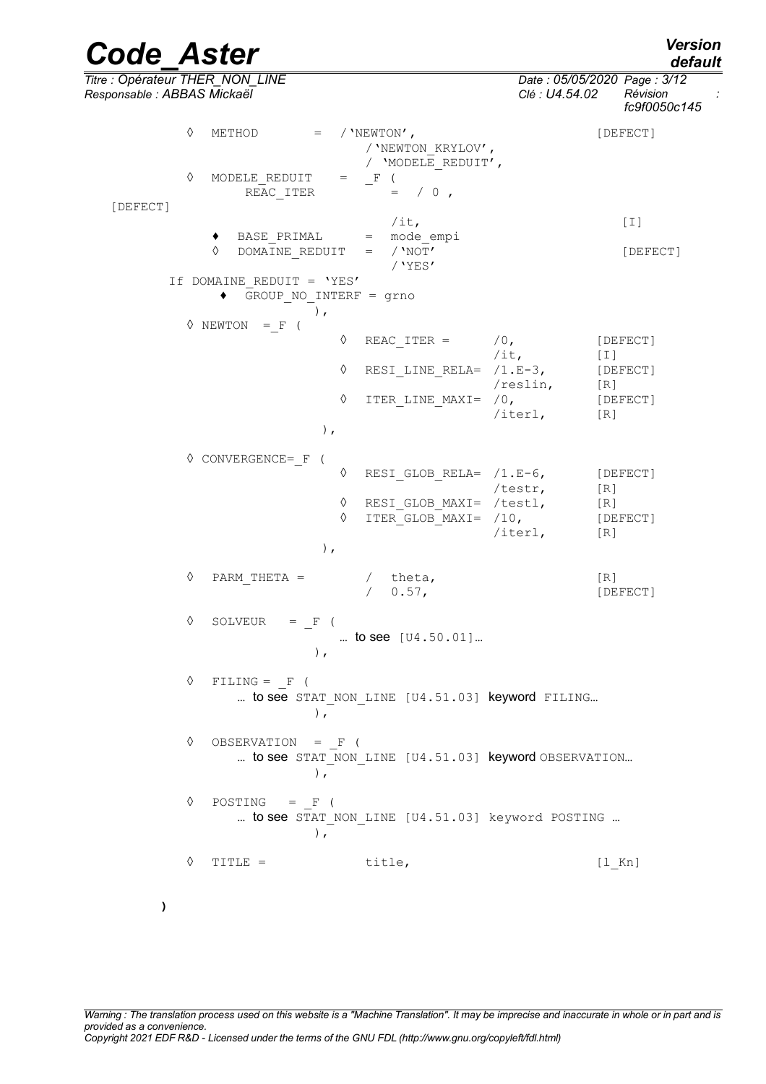*default*

*Code\_Aster Version Titre : Opérateur THER\_NON\_LINE Date : 05/05/2020 Page : 3/12 Responsable : ABBAS Mickaël Clé : U4.54.02 Révision : fc9f0050c145*  $\Diamond$  METHOD = / 'NEWTON', /'NEWTON\_KRYLOV', / 'MODELE\_REDUIT',<br>\_F (  $\sqrt[3]{}$  MODELE\_REDUIT = \_F (  $\overline{\phantom{0}}$  = / 0  $\overline{\phantom{0}}$ REAC ITER [DEFECT]  $/it,$  [I] ♦ BASE\_PRIMAL = mode\_empi <sup> $\Diamond$ </sup> DOMAINE REDUIT = /'NOT' [DEFECT] /'YES' If DOMAINE\_REDUIT = 'YES' **♦** GROUP\_NO\_INTERF = grno ),  $\Diamond$  NEWTON = F (  $\Diamond$  REAC ITER =  $/0$ , [DEFECT] /it, [I] ◊ RESI\_LINE\_RELA= /1.E-3, [DEFECT] /reslin, [R] ◊ ITER\_LINE\_MAXI= /0, [DEFECT] /iterl, [R] ), ◊ CONVERGENCE=\_F ( ◊ RESI\_GLOB\_RELA= /1.E-6, [DEFECT] /testr, [R] ◊ RESI\_GLOB\_MAXI= /testl, [R] ◊ ITER\_GLOB\_MAXI= /10, [DEFECT] /iterl, [R] ), ◊ PARM\_THETA = / theta, [R] / 0.57, [DEFECT]  $\Diamond$  SOLVEUR =  $_F$  ( … to see [U4.50.01]… ),  $\Diamond$  FILING = F ( ... to see STAT NON LINE [U4.51.03] keyword FILING... ), ◊ OBSERVATION = \_F ( ... to see STAT\_NON LINE [U4.51.03] keyword OBSERVATION... ),  $\Diamond$  POSTING = F ( ... to see STAT NON LINE  $[U4.51.03]$  keyword POSTING ... ), ◊ TITLE = title, [l\_Kn]

**)**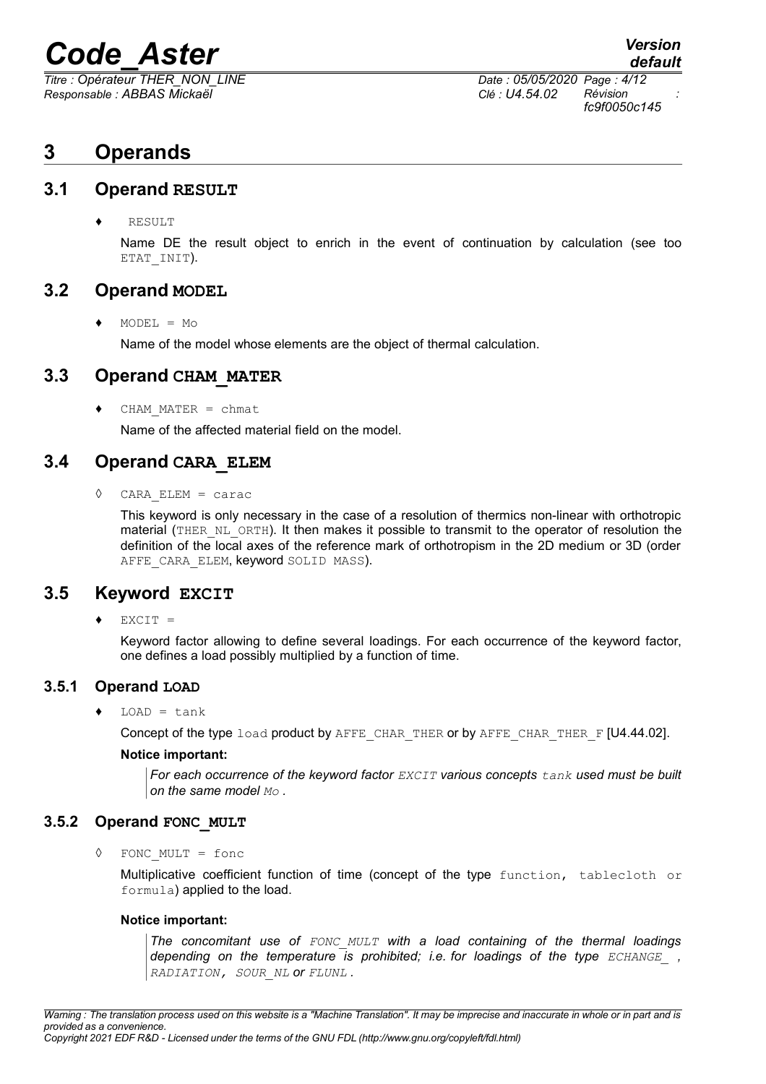*Responsable : ABBAS Mickaël Clé : U4.54.02 Révision :*

*Titre : Opérateur THER\_NON\_LINE Date : 05/05/2020 Page : 4/12 fc9f0050c145*

*default*

# **3 Operands**

### **3.1 Operand RESULT**

**RESULT** 

Name DE the result object to enrich in the event of continuation by calculation (see too ETAT INIT).

# **3.2 Operand MODEL**

 $\triangleleft$  MODEL = Mo

Name of the model whose elements are the object of thermal calculation.

# **3.3 Operand CHAM\_MATER**

♦ CHAM\_MATER = chmat

Name of the affected material field on the model.

# **3.4 Operand CARA\_ELEM**

◊ CARA\_ELEM = carac

This keyword is only necessary in the case of a resolution of thermics non-linear with orthotropic material (THER, NL, ORTH). It then makes it possible to transmit to the operator of resolution the definition of the local axes of the reference mark of orthotropism in the 2D medium or 3D (order AFFE CARA ELEM, keyword SOLID MASS).

# **3.5 Keyword EXCIT**

 $EXCIT =$ 

Keyword factor allowing to define several loadings. For each occurrence of the keyword factor, one defines a load possibly multiplied by a function of time.

# **3.5.1 Operand LOAD**

 $LOAD = tank$ 

Concept of the type load product by AFFE\_CHAR\_THER or by AFFE\_CHAR\_THER\_F [U4.44.02].

#### **Notice important:**

*For each occurrence of the keyword factor EXCIT various concepts tank used must be built on the same model Mo .*

#### **3.5.2 Operand FONC\_MULT**

FONC MULT =  $f$ onc

Multiplicative coefficient function of time (concept of the type function, tablecloth or formula) applied to the load.

#### **Notice important:**

*The concomitant use of FONC\_MULT with a load containing of the thermal loadings depending on the temperature is prohibited; i.e. for loadings of the type ECHANGE\_ , RADIATION, SOUR\_NL or FLUNL .*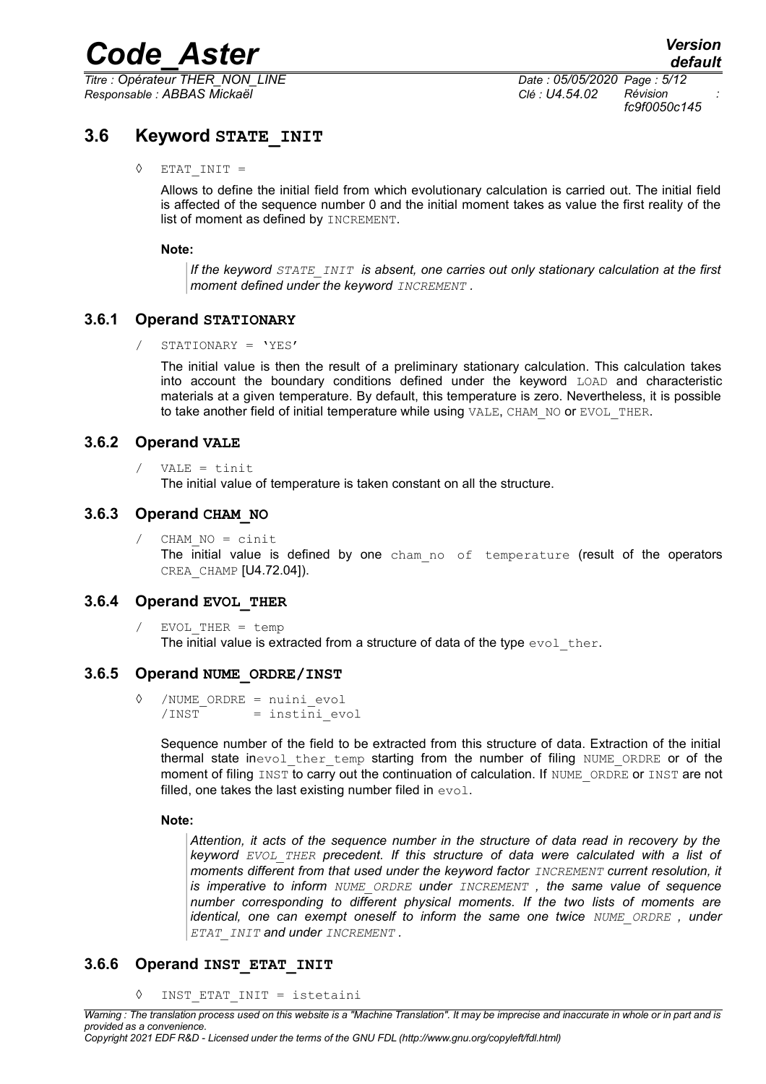*Titre : Opérateur THER\_NON\_LINE Date : 05/05/2020 Page : 5/12 Responsable : ABBAS Mickaël Clé : U4.54.02 Révision :*

*fc9f0050c145*

# **3.6 Keyword STATE\_INIT**

 $\Diamond$  ETAT INIT =

Allows to define the initial field from which evolutionary calculation is carried out. The initial field is affected of the sequence number 0 and the initial moment takes as value the first reality of the list of moment as defined by INCREMENT.

#### **Note:**

*If the keyword STATE\_INIT is absent, one carries out only stationary calculation at the first moment defined under the keyword INCREMENT .*

#### **3.6.1 Operand STATIONARY**

/ STATIONARY = 'YES'

The initial value is then the result of a preliminary stationary calculation. This calculation takes into account the boundary conditions defined under the keyword LOAD and characteristic materials at a given temperature. By default, this temperature is zero. Nevertheless, it is possible to take another field of initial temperature while using VALE, CHAM NO or EVOL THER.

#### **3.6.2 Operand VALE**

/ VALE = tinit

The initial value of temperature is taken constant on all the structure.

#### **3.6.3 Operand CHAM\_NO**

/ CHAM\_NO = cinit The initial value is defined by one cham no of temperature (result of the operators CREA\_CHAMP [U4.72.04]).

#### **3.6.4 Operand EVOL\_THER**

/ EVOL\_THER = temp The initial value is extracted from a structure of data of the type  $evol$  ther.

#### **3.6.5 Operand NUME\_ORDRE/INST**

◊ /NUME\_ORDRE = nuini\_evol /INST = instini evol

> Sequence number of the field to be extracted from this structure of data. Extraction of the initial thermal state inevol ther temp starting from the number of filing NUME ORDRE or of the moment of filing INST to carry out the continuation of calculation. If NUME ORDRE or INST are not filled, one takes the last existing number filed in  $evol$ .

#### **Note:**

*Attention, it acts of the sequence number in the structure of data read in recovery by the keyword EVOL\_THER precedent. If this structure of data were calculated with a list of moments different from that used under the keyword factor INCREMENT current resolution, it is imperative to inform NUME\_ORDRE under INCREMENT , the same value of sequence number corresponding to different physical moments. If the two lists of moments are identical, one can exempt oneself to inform the same one twice NUME\_ORDRE , under ETAT\_INIT and under INCREMENT .*

#### **3.6.6 Operand INST\_ETAT\_INIT**

◊ INST\_ETAT\_INIT = istetaini

*Copyright 2021 EDF R&D - Licensed under the terms of the GNU FDL (http://www.gnu.org/copyleft/fdl.html)*

*Warning : The translation process used on this website is a "Machine Translation". It may be imprecise and inaccurate in whole or in part and is provided as a convenience.*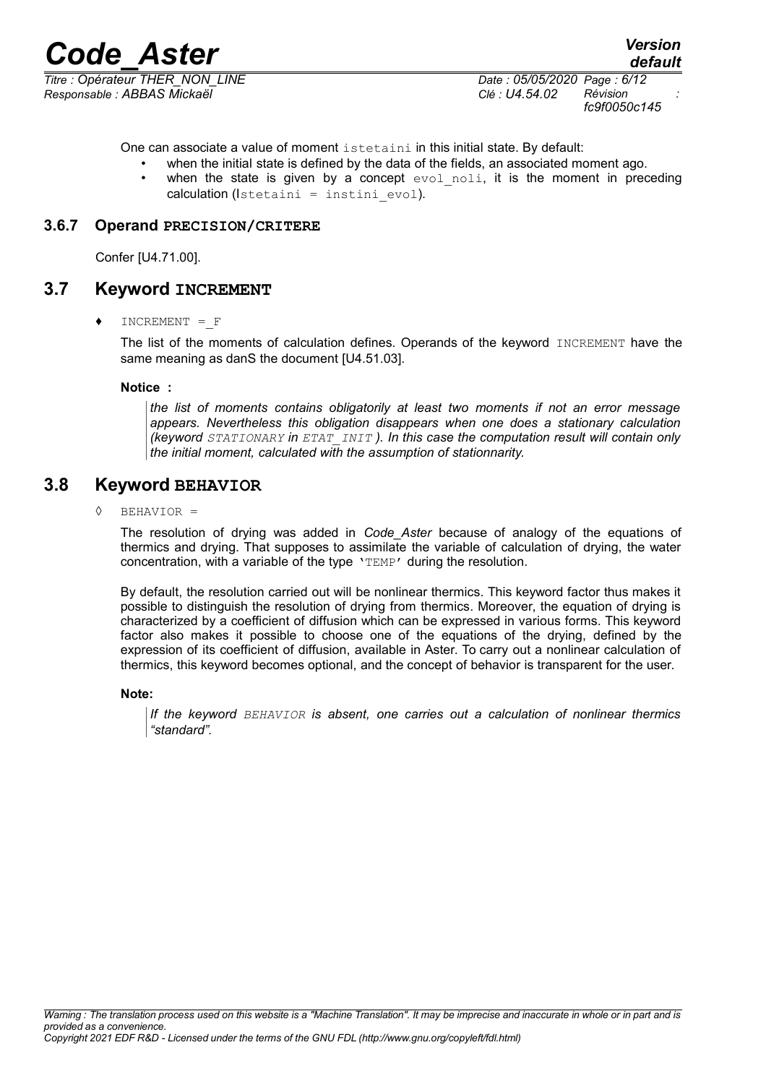*Titre : Opérateur THER\_NON\_LINE Date : 05/05/2020 Page : 6/12 Responsable : ABBAS Mickaël Clé : U4.54.02 Révision :*

*fc9f0050c145*

One can associate a value of moment istetaini in this initial state. By default:

when the initial state is defined by the data of the fields, an associated moment ago. when the state is given by a concept  $evol$  noli, it is the moment in preceding  $calculation (Istetaini = institini \, evol).$ 

#### **3.6.7 Operand PRECISION/CRITERE**

Confer [U4.71.00].

#### **3.7 Keyword INCREMENT**

♦ INCREMENT =\_F

The list of the moments of calculation defines. Operands of the keyword INCREMENT have the same meaning as danS the document [U4.51.03].

**Notice :**

*the list of moments contains obligatorily at least two moments if not an error message appears. Nevertheless this obligation disappears when one does a stationary calculation (keyword STATIONARY in ETAT\_INIT ). In this case the computation result will contain only the initial moment, calculated with the assumption of stationnarity.*

### **3.8 Keyword BEHAVIOR**

◊ BEHAVIOR =

The resolution of drying was added in *Code\_Aster* because of analogy of the equations of thermics and drying. That supposes to assimilate the variable of calculation of drying, the water concentration, with a variable of the type 'TEMP' during the resolution.

By default, the resolution carried out will be nonlinear thermics. This keyword factor thus makes it possible to distinguish the resolution of drying from thermics. Moreover, the equation of drying is characterized by a coefficient of diffusion which can be expressed in various forms. This keyword factor also makes it possible to choose one of the equations of the drying, defined by the expression of its coefficient of diffusion, available in Aster. To carry out a nonlinear calculation of thermics, this keyword becomes optional, and the concept of behavior is transparent for the user.

#### **Note:**

*If the keyword BEHAVIOR is absent, one carries out a calculation of nonlinear thermics "standard".*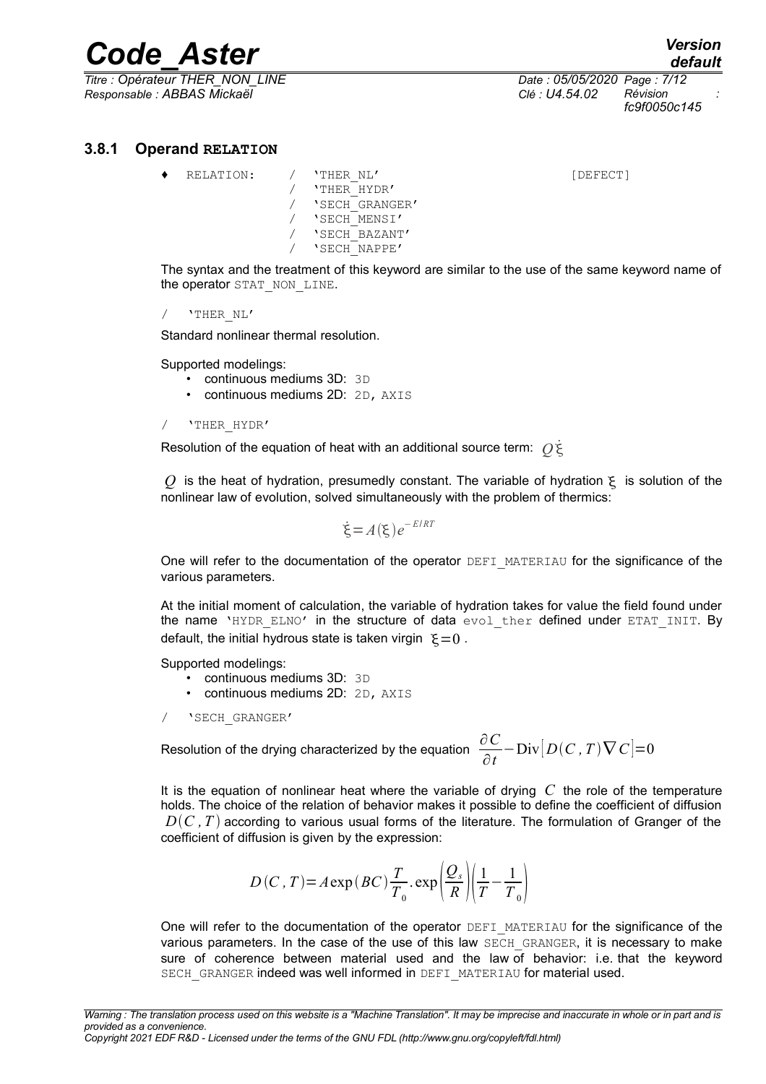*Titre : Opérateur THER\_NON\_LINE Date : 05/05/2020 Page : 7/12 Responsable : ABBAS Mickaël Clé : U4.54.02 Révision :*

*fc9f0050c145*

#### **3.8.1 Operand RELATION**

RELATION: / 'THER\_NL' [DEFECT] / 'THER\_HYDR' / 'SECH\_GRANGER' / 'SECH\_MENSI' / 'SECH\_BAZANT' / 'SECH\_NAPPE'

The syntax and the treatment of this keyword are similar to the use of the same keyword name of the operator STAT\_NON\_LINE.

/ 'THER\_NL'

Standard nonlinear thermal resolution.

Supported modelings:

- continuous mediums 3D: 3D
- continuous mediums 2D: 2D, AXIS

#### / 'THER\_HYDR'

Resolution of the equation of heat with an additional source term: *Q* ˙

 $\overline{Q}$  is the heat of hydration, presumedly constant. The variable of hydration  $\xi$  is solution of the nonlinear law of evolution, solved simultaneously with the problem of thermics:

$$
\dot{\xi} = A(\xi) e^{-E/RT}
$$

One will refer to the documentation of the operator DEFI\_MATERIAU for the significance of the various parameters.

At the initial moment of calculation, the variable of hydration takes for value the field found under the name 'HYDR ELNO' in the structure of data evol ther defined under ETAT INIT. By default, the initial hydrous state is taken virgin  $\xi = 0$ .

Supported modelings:

- continuous mediums 3D: 3D
- continuous mediums 2D: 2D, AXIS

/ 'SECH\_GRANGER'

Resolution of the drying characterized by the equation  $\frac{\partial C}{\partial \rho}$ ∂*t*  $-\text{Div}|D(C, T)\nabla C|=0$ 

It is the equation of nonlinear heat where the variable of drying *C* the role of the temperature holds. The choice of the relation of behavior makes it possible to define the coefficient of diffusion  $D(C, T)$  according to various usual forms of the literature. The formulation of Granger of the coefficient of diffusion is given by the expression:

$$
D(C, T) = A \exp(BC) \frac{T}{T_0} \cdot \exp\left(\frac{Q_s}{R}\right) \left(\frac{1}{T} - \frac{1}{T_0}\right)
$$

One will refer to the documentation of the operator DEFI\_MATERIAU for the significance of the various parameters. In the case of the use of this law SECH GRANGER, it is necessary to make sure of coherence between material used and the law of behavior: i.e. that the keyword SECH\_GRANGER indeed was well informed in DEFI\_MATERIAU for material used.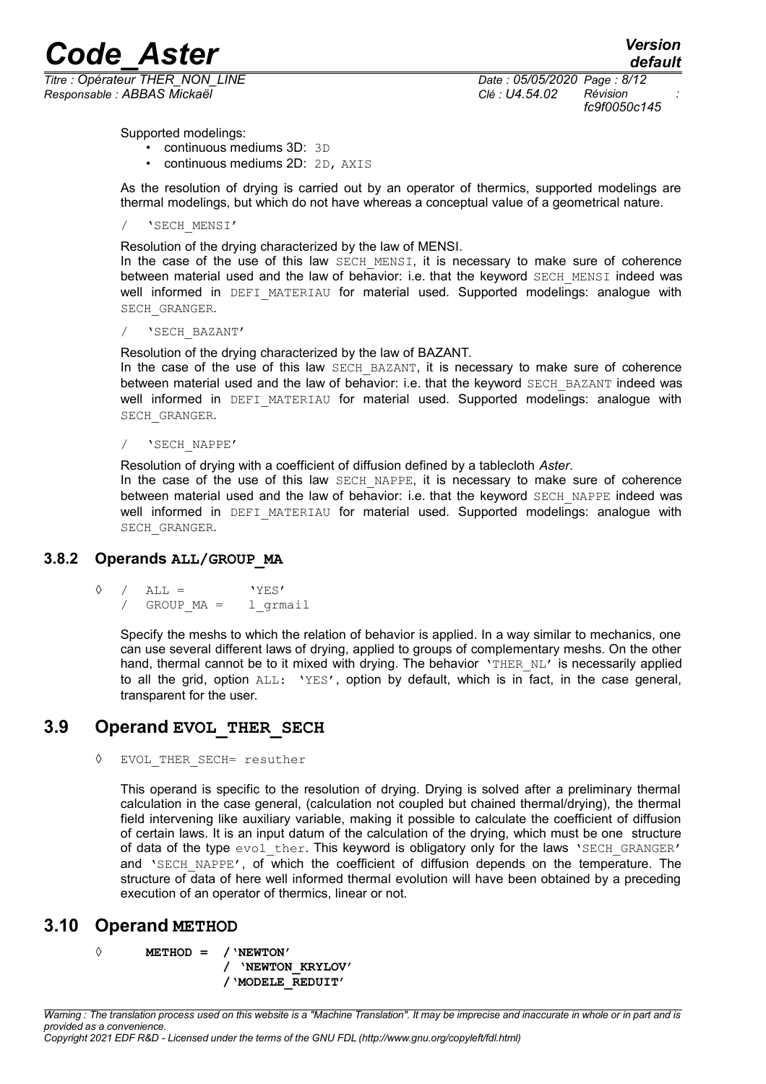*Responsable : ABBAS Mickaël Clé : U4.54.02 Révision :*

*default Titre : Opérateur THER\_NON\_LINE Date : 05/05/2020 Page : 8/12 fc9f0050c145*

Supported modelings:

- continuous mediums 3D: 3D
- continuous mediums 2D: 2D, AXIS

As the resolution of drying is carried out by an operator of thermics, supported modelings are thermal modelings, but which do not have whereas a conceptual value of a geometrical nature.

#### / 'SECH\_MENSI'

#### Resolution of the drying characterized by the law of MENSI.

In the case of the use of this law SECH MENSI, it is necessary to make sure of coherence between material used and the law of behavior: i.e. that the keyword SECH MENSI indeed was well informed in DEFI MATERIAU for material used. Supported modelings: analogue with SECH\_GRANGER.

#### / 'SECH\_BAZANT'

Resolution of the drying characterized by the law of BAZANT.

In the case of the use of this law SECH BAZANT, it is necessary to make sure of coherence between material used and the law of behavior: i.e. that the keyword SECH\_BAZANT indeed was well informed in DEFI MATERIAU for material used. Supported modelings: analogue with SECH\_GRANGER.

/ 'SECH\_NAPPE'

Resolution of drying with a coefficient of diffusion defined by a tablecloth *Aster*.

In the case of the use of this law SECH NAPPE, it is necessary to make sure of coherence between material used and the law of behavior: i.e. that the keyword SECH\_NAPPE indeed was well informed in DEFI MATERIAU for material used. Supported modelings: analogue with SECH\_GRANGER.

#### **3.8.2 Operands ALL/GROUP\_MA**

 $\Diamond$  / ALL = 'YES' / GROUP MA = l grmail

> Specify the meshs to which the relation of behavior is applied. In a way similar to mechanics, one can use several different laws of drying, applied to groups of complementary meshs. On the other hand, thermal cannot be to it mixed with drying. The behavior 'THER NL' is necessarily applied to all the grid, option ALL: 'YES', option by default, which is in fact, in the case general, transparent for the user.

# **3.9 Operand EVOL\_THER\_SECH**

◊ EVOL\_THER\_SECH= resuther

This operand is specific to the resolution of drying. Drying is solved after a preliminary thermal calculation in the case general, (calculation not coupled but chained thermal/drying), the thermal field intervening like auxiliary variable, making it possible to calculate the coefficient of diffusion of certain laws. It is an input datum of the calculation of the drying, which must be one structure of data of the type evol ther. This keyword is obligatory only for the laws 'SECH GRANGER' and 'SECH NAPPE', of which the coefficient of diffusion depends on the temperature. The structure of data of here well informed thermal evolution will have been obtained by a preceding execution of an operator of thermics, linear or not.

# **3.10 Operand METHOD**

**◊ METHOD = /'NEWTON'**

**/ 'NEWTON\_KRYLOV' /'MODELE\_REDUIT'** 

*Warning : The translation process used on this website is a "Machine Translation". It may be imprecise and inaccurate in whole or in part and is provided as a convenience.*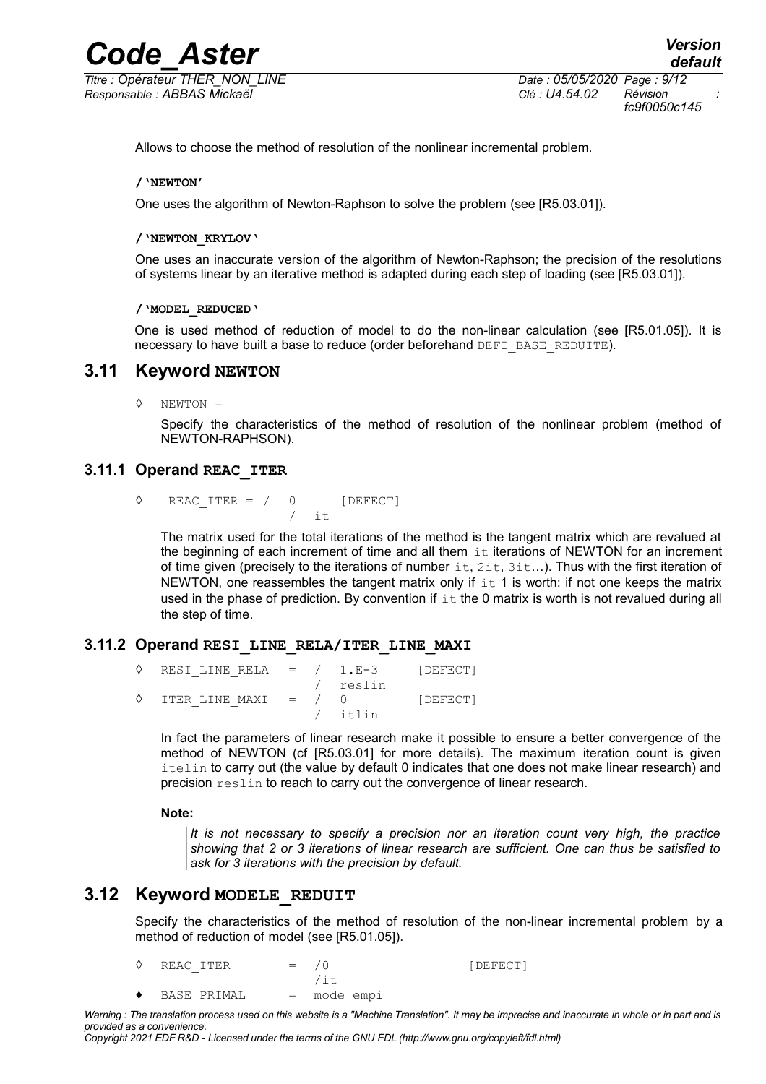*Titre : Opérateur THER\_NON\_LINE Date : 05/05/2020 Page : 9/12 Responsable : ABBAS Mickaël Clé : U4.54.02 Révision :*

*fc9f0050c145*

Allows to choose the method of resolution of the nonlinear incremental problem.

#### **/'NEWTON'**

One uses the algorithm of Newton-Raphson to solve the problem (see [R5.03.01]).

#### **/'NEWTON\_KRYLOV'**

One uses an inaccurate version of the algorithm of Newton-Raphson; the precision of the resolutions of systems linear by an iterative method is adapted during each step of loading (see [R5.03.01]).

#### **/'MODEL\_REDUCED'**

<span id="page-8-0"></span>One is used method of reduction of model to do the non-linear calculation (see [R5.01.05]). It is necessary to have built a base to reduce (order beforehand DEFI\_BASE\_REDUITE).

#### **3.11 Keyword NEWTON**

◊ NEWTON =

Specify the characteristics of the method of resolution of the nonlinear problem (method of NEWTON-RAPHSON).

#### **3.11.1 Operand REAC\_ITER**

 $\Diamond$  REAC ITER = / 0 [DEFECT] it.

The matrix used for the total iterations of the method is the tangent matrix which are revalued at the beginning of each increment of time and all them  $i$ t iterations of NEWTON for an increment of time given (precisely to the iterations of number  $\pm t$ ,  $2\pm t$ ,  $3\pm \ldots$ ). Thus with the first iteration of NEWTON, one reassembles the tangent matrix only if  $\pm \tau$  1 is worth: if not one keeps the matrix used in the phase of prediction. By convention if  $\pm\tau$  the 0 matrix is worth is not revalued during all the step of time.

#### **3.11.2 Operand RESI\_LINE\_RELA/ITER\_LINE\_MAXI**

| $\Diamond$ RESI LINE RELA = $/$ 1.E-3 [DEFECT] |  |          |          |
|------------------------------------------------|--|----------|----------|
|                                                |  | / reslin |          |
| $\Diamond$ ITER LINE MAXI = $/$ 0              |  |          | [DEFECT] |
|                                                |  | / itlin  |          |

In fact the parameters of linear research make it possible to ensure a better convergence of the method of NEWTON (cf [R5.03.01] for more details). The maximum iteration count is given itelin to carry out (the value by default 0 indicates that one does not make linear research) and precision reslin to reach to carry out the convergence of linear research.

#### **Note:**

*It is not necessary to specify a precision nor an iteration count very high, the practice showing that 2 or 3 iterations of linear research are sufficient. One can thus be satisfied to ask for 3 iterations with the precision by default.*

#### **3.12 Keyword MODELE\_REDUIT**

Specify the characteristics of the method of resolution of the non-linear incremental problem by a method of reduction of model (see [R5.01.05]).

| $\Diamond$ REAC ITER | $=$ $/0$ |             | [DEFECT] |
|----------------------|----------|-------------|----------|
|                      |          | /it         |          |
| BASE PRIMAL          |          | = mode empi |          |

*Warning : The translation process used on this website is a "Machine Translation". It may be imprecise and inaccurate in whole or in part and is provided as a convenience.*

*Copyright 2021 EDF R&D - Licensed under the terms of the GNU FDL (http://www.gnu.org/copyleft/fdl.html)*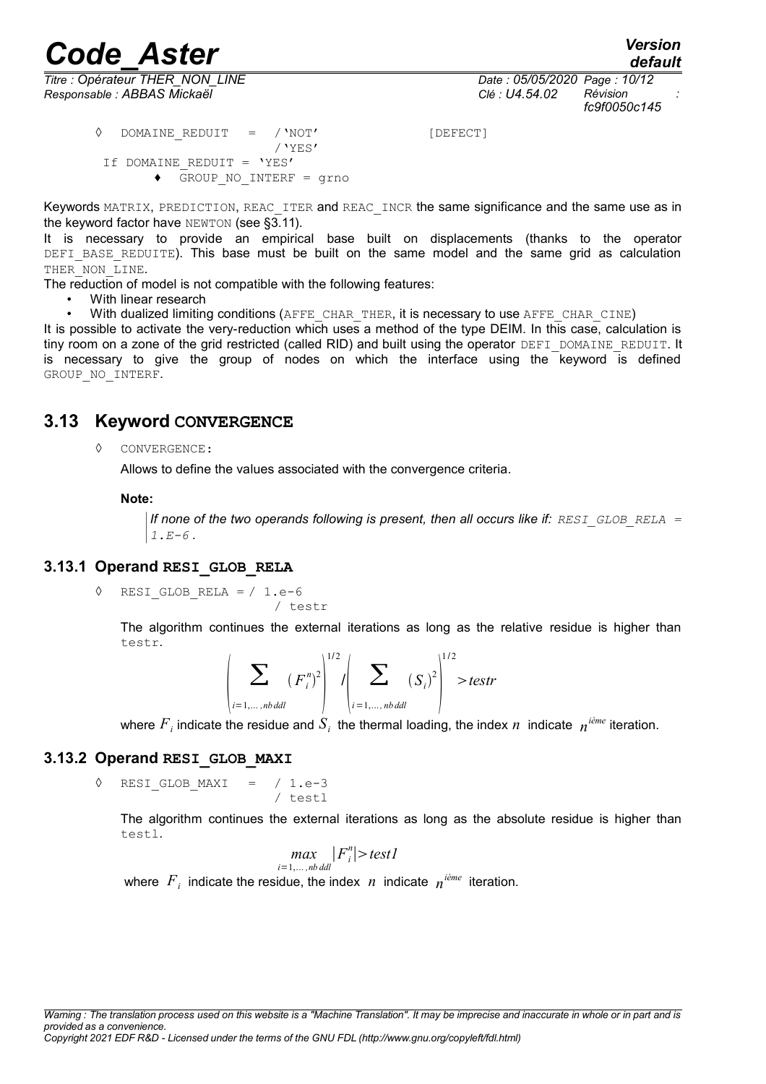# *Code\_Aster*<br>*Code\_Aster Version*<br>*Conérateur THER NON LINE*

*default*

*Titre : Opérateur THER\_NON\_LINE Date : 05/05/2020 Page : 10/12 Responsable : ABBAS Mickaël Clé : U4.54.02 Révision :*

**◊** DOMAINE\_REDUIT = /'NOT' [DEFECT] /'YES' If DOMAINE\_REDUIT = 'YES' **♦** GROUP\_NO\_INTERF = grno

Keywords MATRIX, PREDICTION, REAC ITER and REAC INCR the same significance and the same use as in the keyword factor have NEWTON (see [§3.11\)](#page-8-0).

It is necessary to provide an empirical base built on displacements (thanks to the operator DEFI BASE REDUITE). This base must be built on the same model and the same grid as calculation THER NON LINE.

The reduction of model is not compatible with the following features:

• With linear research

With dualized limiting conditions (AFFE\_CHAR\_THER, it is necessary to use AFFE\_CHAR\_CINE)

It is possible to activate the very-reduction which uses a method of the type DEIM. In this case, calculation is tiny room on a zone of the grid restricted (called RID) and built using the operator DEFI\_DOMAINE\_REDUIT. It is necessary to give the group of nodes on which the interface using the  $k$ eyword is defined GROUP NO INTERF.

# **3.13 Keyword CONVERGENCE**

#### ◊ CONVERGENCE:

Allows to define the values associated with the convergence criteria.

/ testr

#### **Note:**

*If none of the two operands following is present, then all occurs like if: RESI\_GLOB\_RELA =*  $1.E-6$  .

#### **3.13.1 Operand RESI\_GLOB\_RELA**

$$
\Diamond \quad \texttt{RESI\_GLOB\_RELA} = / 1.e-6
$$

The algorithm continues the external iterations as long as the relative residue is higher than testr.

$$
\left|\sum_{i=1,\ldots,nbdal} (F_i^n)^2\right|^{1/2} / \left|\sum_{i=1,\ldots,nbdal} (S_i)^2\right|^{1/2} > testr
$$

where  ${F}_i$  indicate the residue and  ${S}_i$  the thermal loading, the index  $n$  indicate  $\,{n^{i\hat{e}me}}$  iteration.

#### **3.13.2 Operand RESI\_GLOB\_MAXI**

 $\sqrt{2}$  RESI GLOB MAXI = / 1.e-3 / testl

The algorithm continues the external iterations as long as the absolute residue is higher than testl.

$$
\max_{i=1,\ldots,n}\left|F_i^n\right|>\text{test1}
$$

where  $F_i$  indicate the residue, the index  $n$  indicate  $n^{i\text{eme}}$  iteration.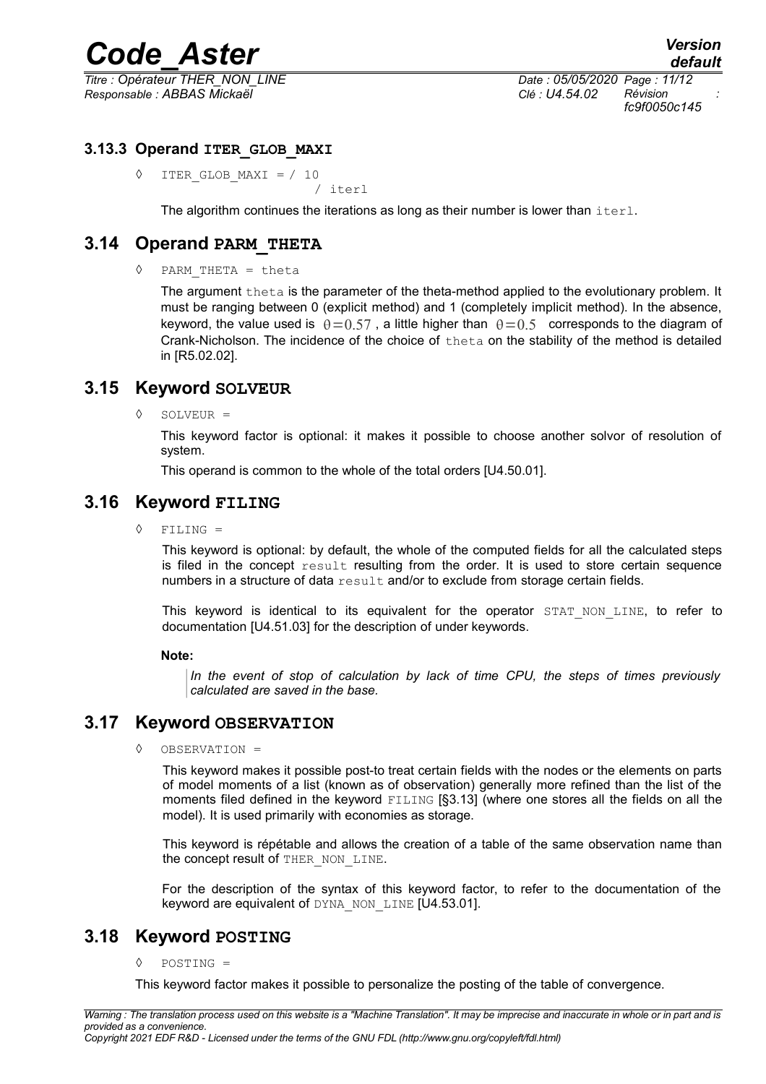*Titre : Opérateur THER\_NON\_LINE Date : 05/05/2020 Page : 11/12 Responsable : ABBAS Mickaël Clé : U4.54.02 Révision :*

*fc9f0050c145*

#### **3.13.3 Operand ITER\_GLOB\_MAXI**

◊ ITER\_GLOB\_MAXI = / 10 / iterl

The algorithm continues the iterations as long as their number is lower than  $\text{iterl.}$ 

# **3.14 Operand PARM\_THETA**

◊ PARM\_THETA = theta

The argument theta is the parameter of the theta-method applied to the evolutionary problem. It must be ranging between 0 (explicit method) and 1 (completely implicit method). In the absence, keyword, the value used is  $\theta = 0.57$ , a little higher than  $\theta = 0.5$  corresponds to the diagram of Crank-Nicholson. The incidence of the choice of theta on the stability of the method is detailed in [R5.02.02].

### **3.15 Keyword SOLVEUR**

◊ SOLVEUR =

This keyword factor is optional: it makes it possible to choose another solvor of resolution of system.

This operand is common to the whole of the total orders [U4.50.01].

### **3.16 Keyword FILING**

◊ FILING =

This keyword is optional: by default, the whole of the computed fields for all the calculated steps is filed in the concept result resulting from the order. It is used to store certain sequence numbers in a structure of data result and/or to exclude from storage certain fields.

This keyword is identical to its equivalent for the operator STAT NON LINE, to refer to documentation [U4.51.03] for the description of under keywords.

#### **Note:**

*In the event of stop of calculation by lack of time CPU, the steps of times previously calculated are saved in the base.*

# **3.17 Keyword OBSERVATION**

◊ OBSERVATION =

This keyword makes it possible post-to treat certain fields with the nodes or the elements on parts of model moments of a list (known as of observation) generally more refined than the list of the moments filed defined in the keyword FILING [§3.13] (where one stores all the fields on all the model). It is used primarily with economies as storage.

This keyword is répétable and allows the creation of a table of the same observation name than the concept result of THER\_NON\_LINE.

For the description of the syntax of this keyword factor, to refer to the documentation of the keyword are equivalent of DYNA\_NON\_LINE [U4.53.01].

# **3.18 Keyword POSTING**

#### ◊ POSTING =

This keyword factor makes it possible to personalize the posting of the table of convergence.